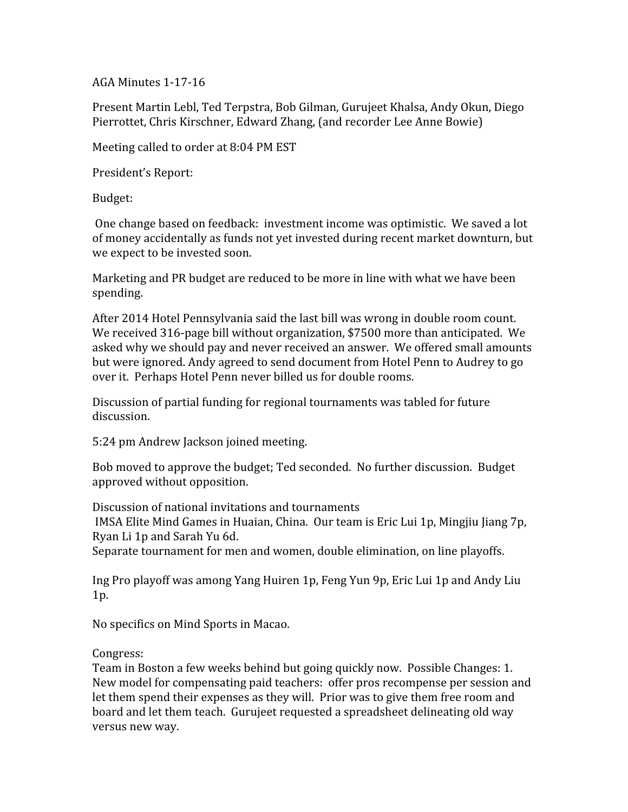AGA Minutes 1-17-16

Present Martin Lebl, Ted Terpstra, Bob Gilman, Gurujeet Khalsa, Andy Okun, Diego Pierrottet, Chris Kirschner, Edward Zhang, (and recorder Lee Anne Bowie)

Meeting called to order at 8:04 PM EST

President's Report:

Budget:

One change based on feedback: investment income was optimistic. We saved a lot of money accidentally as funds not yet invested during recent market downturn, but we expect to be invested soon.

Marketing and PR budget are reduced to be more in line with what we have been spending.

After 2014 Hotel Pennsylvania said the last bill was wrong in double room count. We received 316-page bill without organization,  $$7500$  more than anticipated. We asked why we should pay and never received an answer. We offered small amounts but were ignored. Andy agreed to send document from Hotel Penn to Audrey to go over it. Perhaps Hotel Penn never billed us for double rooms.

Discussion of partial funding for regional tournaments was tabled for future discussion.

5:24 pm Andrew Jackson joined meeting.

Bob moved to approve the budget; Ted seconded. No further discussion. Budget approved without opposition.

Discussion of national invitations and tournaments IMSA Elite Mind Games in Huaian, China. Our team is Eric Lui 1p, Mingjiu Jiang 7p, Ryan Li 1p and Sarah Yu 6d.

Separate tournament for men and women, double elimination, on line playoffs.

Ing Pro playoff was among Yang Huiren 1p, Feng Yun 9p, Eric Lui 1p and Andy Liu 1p.

No specifics on Mind Sports in Macao.

Congress:

Team in Boston a few weeks behind but going quickly now. Possible Changes: 1. New model for compensating paid teachers: offer pros recompense per session and let them spend their expenses as they will. Prior was to give them free room and board and let them teach. Gurujeet requested a spreadsheet delineating old way versus new way.